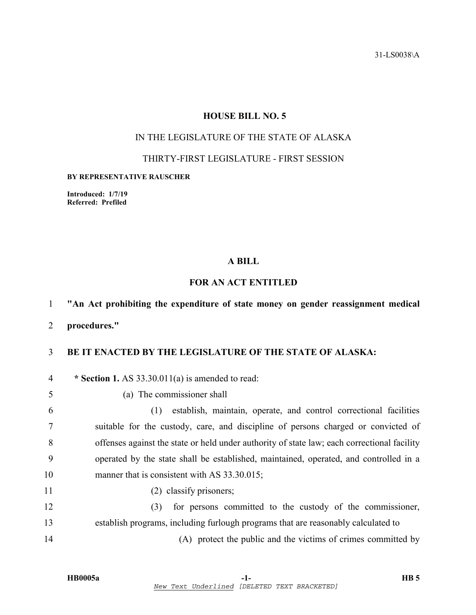31-LS0038\A

# **HOUSE BILL NO. 5**

# IN THE LEGISLATURE OF THE STATE OF ALASKA

### THIRTY-FIRST LEGISLATURE - FIRST SESSION

#### **BY REPRESENTATIVE RAUSCHER**

**Introduced: 1/7/19 Referred: Prefiled** 

### **A BILL**

# **FOR AN ACT ENTITLED**

# 1 **"An Act prohibiting the expenditure of state money on gender reassignment medical**

2 **procedures."** 

# 3 **BE IT ENACTED BY THE LEGISLATURE OF THE STATE OF ALASKA:**

4 **\* Section 1.** AS 33.30.011(a) is amended to read: 5 (a) The commissioner shall 6 (1) establish, maintain, operate, and control correctional facilities 7 suitable for the custody, care, and discipline of persons charged or convicted of 8 offenses against the state or held under authority of state law; each correctional facility 9 operated by the state shall be established, maintained, operated, and controlled in a 10 manner that is consistent with AS 33.30.015; 11 (2) classify prisoners; 12 (3) for persons committed to the custody of the commissioner, 13 establish programs, including furlough programs that are reasonably calculated to 14 (A) protect the public and the victims of crimes committed by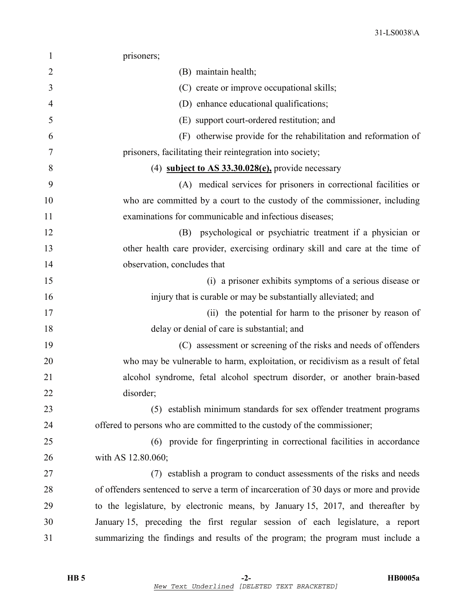| $\mathbf{1}$   | prisoners;                                                                             |
|----------------|----------------------------------------------------------------------------------------|
| $\overline{2}$ | (B) maintain health;                                                                   |
| 3              | (C) create or improve occupational skills;                                             |
| 4              | (D) enhance educational qualifications;                                                |
| 5              | (E) support court-ordered restitution; and                                             |
| 6              | (F) otherwise provide for the rehabilitation and reformation of                        |
| 7              | prisoners, facilitating their reintegration into society;                              |
| 8              | (4) subject to AS $33.30.028(e)$ , provide necessary                                   |
| 9              | (A) medical services for prisoners in correctional facilities or                       |
| 10             | who are committed by a court to the custody of the commissioner, including             |
| 11             | examinations for communicable and infectious diseases;                                 |
| 12             | psychological or psychiatric treatment if a physician or<br>(B)                        |
| 13             | other health care provider, exercising ordinary skill and care at the time of          |
| 14             | observation, concludes that                                                            |
| 15             | (i) a prisoner exhibits symptoms of a serious disease or                               |
| 16             | injury that is curable or may be substantially alleviated; and                         |
| 17             | (ii) the potential for harm to the prisoner by reason of                               |
| 18             | delay or denial of care is substantial; and                                            |
| 19             | (C) assessment or screening of the risks and needs of offenders                        |
| 20             | who may be vulnerable to harm, exploitation, or recidivism as a result of fetal        |
| 21             | alcohol syndrome, fetal alcohol spectrum disorder, or another brain-based              |
| 22             | disorder;                                                                              |
| 23             | (5) establish minimum standards for sex offender treatment programs                    |
| 24             | offered to persons who are committed to the custody of the commissioner;               |
| 25             | (6) provide for fingerprinting in correctional facilities in accordance                |
| 26             | with AS 12.80.060;                                                                     |
| 27             | (7) establish a program to conduct assessments of the risks and needs                  |
| 28             | of offenders sentenced to serve a term of incarceration of 30 days or more and provide |
| 29             | to the legislature, by electronic means, by January 15, 2017, and thereafter by        |
| 30             | January 15, preceding the first regular session of each legislature, a report          |
| 31             | summarizing the findings and results of the program; the program must include a        |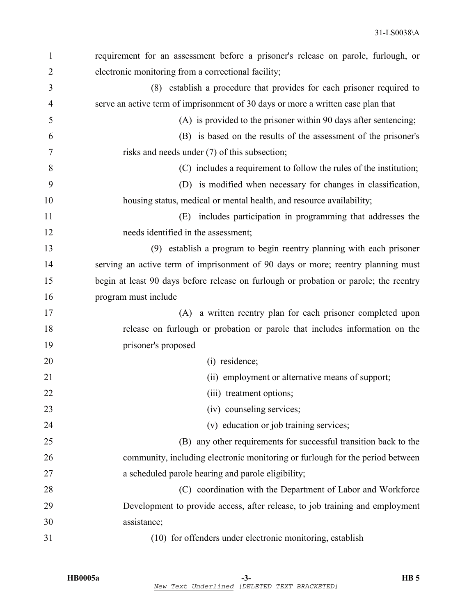| $\mathbf{1}$   | requirement for an assessment before a prisoner's release on parole, furlough, or     |
|----------------|---------------------------------------------------------------------------------------|
| $\overline{2}$ | electronic monitoring from a correctional facility;                                   |
| 3              | (8) establish a procedure that provides for each prisoner required to                 |
| 4              | serve an active term of imprisonment of 30 days or more a written case plan that      |
| 5              | (A) is provided to the prisoner within 90 days after sentencing;                      |
| 6              | (B) is based on the results of the assessment of the prisoner's                       |
| 7              | risks and needs under (7) of this subsection;                                         |
| 8              | (C) includes a requirement to follow the rules of the institution;                    |
| 9              | (D) is modified when necessary for changes in classification,                         |
| 10             | housing status, medical or mental health, and resource availability;                  |
| 11             | includes participation in programming that addresses the<br>(E)                       |
| 12             | needs identified in the assessment;                                                   |
| 13             | (9) establish a program to begin reentry planning with each prisoner                  |
| 14             | serving an active term of imprisonment of 90 days or more; reentry planning must      |
| 15             | begin at least 90 days before release on furlough or probation or parole; the reentry |
| 16             | program must include                                                                  |
| 17             | (A) a written reentry plan for each prisoner completed upon                           |
| 18             | release on furlough or probation or parole that includes information on the           |
| 19             | prisoner's proposed                                                                   |
| 20             | (i) residence;                                                                        |
| 21             | (ii) employment or alternative means of support;                                      |
| 22             | (iii) treatment options;                                                              |
| 23             | (iv) counseling services;                                                             |
| 24             | (v) education or job training services;                                               |
| 25             | (B) any other requirements for successful transition back to the                      |
| 26             | community, including electronic monitoring or furlough for the period between         |
| 27             | a scheduled parole hearing and parole eligibility;                                    |
| 28             | (C) coordination with the Department of Labor and Workforce                           |
| 29             | Development to provide access, after release, to job training and employment          |
| 30             | assistance;                                                                           |
| 31             | (10) for offenders under electronic monitoring, establish                             |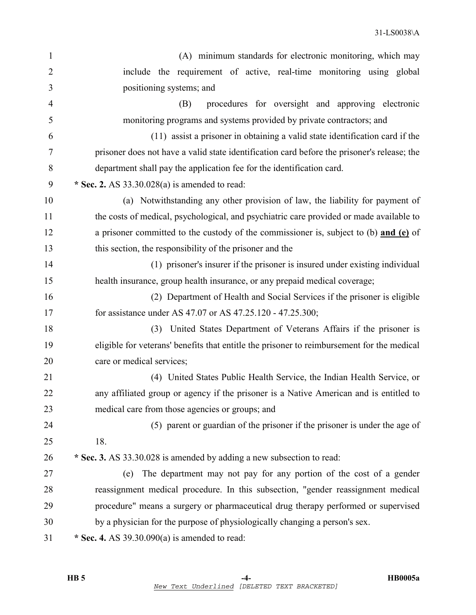| $\mathbf{1}$   | (A) minimum standards for electronic monitoring, which may                                  |
|----------------|---------------------------------------------------------------------------------------------|
| $\overline{2}$ | include the requirement of active, real-time monitoring using global                        |
| 3              | positioning systems; and                                                                    |
| $\overline{4}$ | procedures for oversight and approving electronic<br>(B)                                    |
| 5              | monitoring programs and systems provided by private contractors; and                        |
| 6              | (11) assist a prisoner in obtaining a valid state identification card if the                |
| 7              | prisoner does not have a valid state identification card before the prisoner's release; the |
| 8              | department shall pay the application fee for the identification card.                       |
| 9              | * Sec. 2. AS $33.30.028(a)$ is amended to read:                                             |
| 10             | (a) Notwithstanding any other provision of law, the liability for payment of                |
| 11             | the costs of medical, psychological, and psychiatric care provided or made available to     |
| 12             | a prisoner committed to the custody of the commissioner is, subject to (b) and (e) of       |
| 13             | this section, the responsibility of the prisoner and the                                    |
| 14             | (1) prisoner's insurer if the prisoner is insured under existing individual                 |
| 15             | health insurance, group health insurance, or any prepaid medical coverage;                  |
| 16             | (2) Department of Health and Social Services if the prisoner is eligible                    |
| 17             | for assistance under AS 47.07 or AS 47.25.120 - 47.25.300;                                  |
| 18             | United States Department of Veterans Affairs if the prisoner is<br>(3)                      |
| 19             | eligible for veterans' benefits that entitle the prisoner to reimbursement for the medical  |
| 20             | care or medical services;                                                                   |
| 21             | (4) United States Public Health Service, the Indian Health Service, or                      |
| 22             | any affiliated group or agency if the prisoner is a Native American and is entitled to      |
| 23             | medical care from those agencies or groups; and                                             |
| 24             | (5) parent or guardian of the prisoner if the prisoner is under the age of                  |
| 25             | 18.                                                                                         |
| 26             | * Sec. 3. AS 33.30.028 is amended by adding a new subsection to read:                       |
| 27             | The department may not pay for any portion of the cost of a gender<br>(e)                   |
| 28             | reassignment medical procedure. In this subsection, "gender reassignment medical            |
| 29             | procedure" means a surgery or pharmaceutical drug therapy performed or supervised           |
| 30             | by a physician for the purpose of physiologically changing a person's sex.                  |
| 31             | * Sec. 4. AS $39.30.090(a)$ is amended to read:                                             |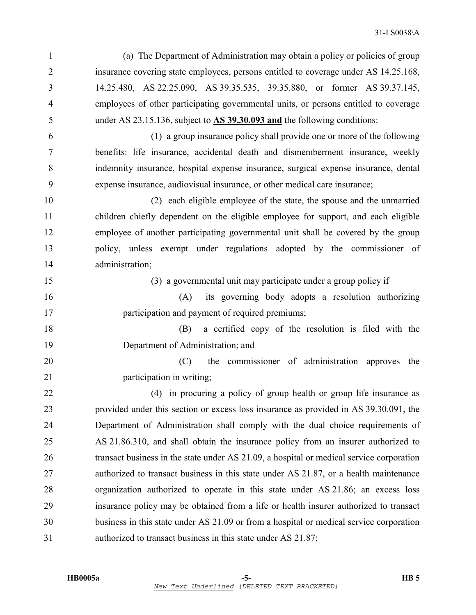1 (a) The Department of Administration may obtain a policy or policies of group 2 insurance covering state employees, persons entitled to coverage under AS 14.25.168, 3 14.25.480, AS 22.25.090, AS 39.35.535, 39.35.880, or former AS 39.37.145, 4 employees of other participating governmental units, or persons entitled to coverage 5 under AS 23.15.136, subject to **AS 39.30.093 and** the following conditions:

6 (1) a group insurance policy shall provide one or more of the following 7 benefits: life insurance, accidental death and dismemberment insurance, weekly 8 indemnity insurance, hospital expense insurance, surgical expense insurance, dental 9 expense insurance, audiovisual insurance, or other medical care insurance;

10 (2) each eligible employee of the state, the spouse and the unmarried 11 children chiefly dependent on the eligible employee for support, and each eligible 12 employee of another participating governmental unit shall be covered by the group 13 policy, unless exempt under regulations adopted by the commissioner of 14 administration;

15 (3) a governmental unit may participate under a group policy if

16 (A) its governing body adopts a resolution authorizing 17 **participation and payment of required premiums;** 

18 (B) a certified copy of the resolution is filed with the 19 Department of Administration; and

20 (C) the commissioner of administration approves the 21 participation in writing;

22 (4) in procuring a policy of group health or group life insurance as 23 provided under this section or excess loss insurance as provided in AS 39.30.091, the 24 Department of Administration shall comply with the dual choice requirements of 25 AS 21.86.310, and shall obtain the insurance policy from an insurer authorized to 26 transact business in the state under AS 21.09, a hospital or medical service corporation 27 authorized to transact business in this state under AS 21.87, or a health maintenance 28 organization authorized to operate in this state under AS 21.86; an excess loss 29 insurance policy may be obtained from a life or health insurer authorized to transact 30 business in this state under AS 21.09 or from a hospital or medical service corporation 31 authorized to transact business in this state under AS 21.87;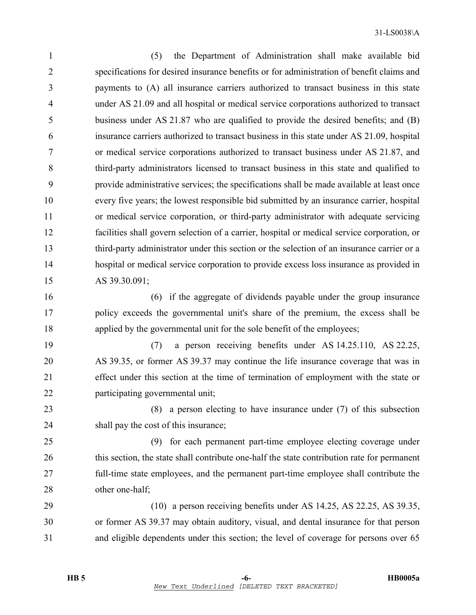1 (5) the Department of Administration shall make available bid 2 specifications for desired insurance benefits or for administration of benefit claims and 3 payments to (A) all insurance carriers authorized to transact business in this state 4 under AS 21.09 and all hospital or medical service corporations authorized to transact 5 business under AS 21.87 who are qualified to provide the desired benefits; and (B) 6 insurance carriers authorized to transact business in this state under AS 21.09, hospital 7 or medical service corporations authorized to transact business under AS 21.87, and 8 third-party administrators licensed to transact business in this state and qualified to 9 provide administrative services; the specifications shall be made available at least once 10 every five years; the lowest responsible bid submitted by an insurance carrier, hospital 11 or medical service corporation, or third-party administrator with adequate servicing 12 facilities shall govern selection of a carrier, hospital or medical service corporation, or 13 third-party administrator under this section or the selection of an insurance carrier or a 14 hospital or medical service corporation to provide excess loss insurance as provided in 15 AS 39.30.091;

16 (6) if the aggregate of dividends payable under the group insurance 17 policy exceeds the governmental unit's share of the premium, the excess shall be 18 applied by the governmental unit for the sole benefit of the employees;

19 (7) a person receiving benefits under AS 14.25.110, AS 22.25, 20 AS 39.35, or former AS 39.37 may continue the life insurance coverage that was in 21 effect under this section at the time of termination of employment with the state or 22 participating governmental unit;

23 (8) a person electing to have insurance under (7) of this subsection 24 shall pay the cost of this insurance;

25 (9) for each permanent part-time employee electing coverage under 26 this section, the state shall contribute one-half the state contribution rate for permanent 27 full-time state employees, and the permanent part-time employee shall contribute the 28 other one-half:

29 (10) a person receiving benefits under AS 14.25, AS 22.25, AS 39.35, 30 or former AS 39.37 may obtain auditory, visual, and dental insurance for that person 31 and eligible dependents under this section; the level of coverage for persons over 65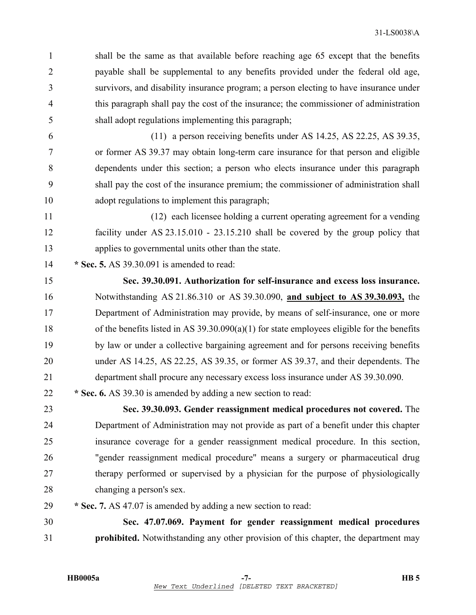1 shall be the same as that available before reaching age 65 except that the benefits 2 payable shall be supplemental to any benefits provided under the federal old age, 3 survivors, and disability insurance program; a person electing to have insurance under 4 this paragraph shall pay the cost of the insurance; the commissioner of administration 5 shall adopt regulations implementing this paragraph;

6 (11) a person receiving benefits under AS 14.25, AS 22.25, AS 39.35, 7 or former AS 39.37 may obtain long-term care insurance for that person and eligible 8 dependents under this section; a person who elects insurance under this paragraph 9 shall pay the cost of the insurance premium; the commissioner of administration shall 10 adopt regulations to implement this paragraph;

11 (12) each licensee holding a current operating agreement for a vending 12 facility under AS 23.15.010 - 23.15.210 shall be covered by the group policy that 13 applies to governmental units other than the state.

14 **\* Sec. 5.** AS 39.30.091 is amended to read:

15 **Sec. 39.30.091. Authorization for self-insurance and excess loss insurance.**  16 Notwithstanding AS 21.86.310 or AS 39.30.090, **and subject to AS 39.30.093,** the 17 Department of Administration may provide, by means of self-insurance, one or more 18 of the benefits listed in AS 39.30.090(a)(1) for state employees eligible for the benefits 19 by law or under a collective bargaining agreement and for persons receiving benefits 20 under AS 14.25, AS 22.25, AS 39.35, or former AS 39.37, and their dependents. The 21 department shall procure any necessary excess loss insurance under AS 39.30.090.

22 **\* Sec. 6.** AS 39.30 is amended by adding a new section to read:

23 **Sec. 39.30.093. Gender reassignment medical procedures not covered.** The 24 Department of Administration may not provide as part of a benefit under this chapter 25 insurance coverage for a gender reassignment medical procedure. In this section, 26 "gender reassignment medical procedure" means a surgery or pharmaceutical drug 27 therapy performed or supervised by a physician for the purpose of physiologically 28 changing a person's sex.

29 **\* Sec. 7.** AS 47.07 is amended by adding a new section to read:

30 **Sec. 47.07.069. Payment for gender reassignment medical procedures**  31 **prohibited.** Notwithstanding any other provision of this chapter, the department may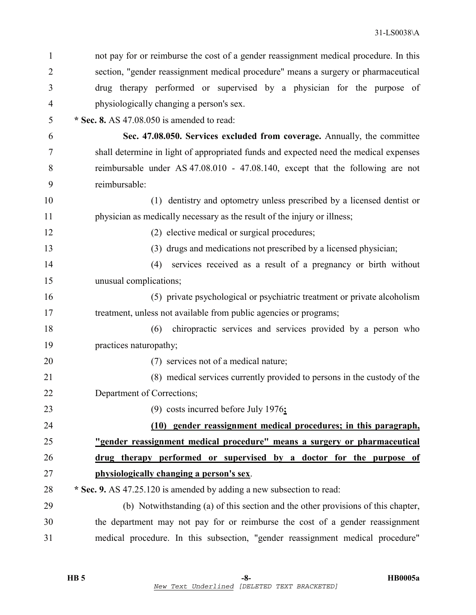| 1              | not pay for or reimburse the cost of a gender reassignment medical procedure. In this |
|----------------|---------------------------------------------------------------------------------------|
| $\overline{2}$ | section, "gender reassignment medical procedure" means a surgery or pharmaceutical    |
| 3              | drug therapy performed or supervised by a physician for the purpose of                |
| $\overline{4}$ | physiologically changing a person's sex.                                              |
| 5              | * Sec. 8. AS 47.08.050 is amended to read:                                            |
| 6              | Sec. 47.08.050. Services excluded from coverage. Annually, the committee              |
| $\overline{7}$ | shall determine in light of appropriated funds and expected need the medical expenses |
| 8              | reimbursable under AS 47.08.010 - 47.08.140, except that the following are not        |
| 9              | reimbursable:                                                                         |
| 10             | (1) dentistry and optometry unless prescribed by a licensed dentist or                |
| 11             | physician as medically necessary as the result of the injury or illness;              |
| 12             | (2) elective medical or surgical procedures;                                          |
| 13             | (3) drugs and medications not prescribed by a licensed physician;                     |
| 14             | services received as a result of a pregnancy or birth without<br>(4)                  |
| 15             | unusual complications;                                                                |
| 16             | (5) private psychological or psychiatric treatment or private alcoholism              |
| 17             | treatment, unless not available from public agencies or programs;                     |
| 18             | chiropractic services and services provided by a person who<br>(6)                    |
| 19             | practices naturopathy;                                                                |
| 20             | (7) services not of a medical nature;                                                 |
| 21             | (8) medical services currently provided to persons in the custody of the              |
| 22             | Department of Corrections;                                                            |
| 23             | (9) costs incurred before July 1976;                                                  |
| 24             | (10) gender reassignment medical procedures; in this paragraph,                       |
| 25             | "gender reassignment medical procedure" means a surgery or pharmaceutical             |
| 26             | drug therapy performed or supervised by a doctor for the purpose of                   |
| 27             | physiologically changing a person's sex.                                              |
| 28             | * Sec. 9. AS 47.25.120 is amended by adding a new subsection to read:                 |
| 29             | (b) Notwithstanding (a) of this section and the other provisions of this chapter,     |
| 30             | the department may not pay for or reimburse the cost of a gender reassignment         |
| 31             | medical procedure. In this subsection, "gender reassignment medical procedure"        |